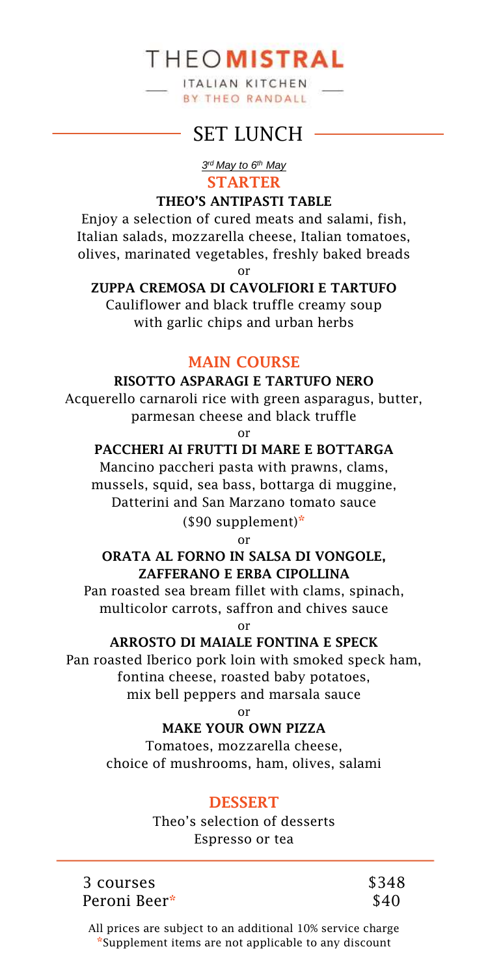ITALIAN KITCHEN **BY THEO RANDALL** 

## SET LUNCH -

#### *3 rd May to 6th May* **STARTER**

#### **THEO'S ANTIPASTI TABLE**

Enjoy a selection of cured meats and salami, fish, Italian salads, mozzarella cheese, Italian tomatoes, olives, marinated vegetables, freshly baked breads or

### **ZUPPA CREMOSA DI CAVOLFIORI E TARTUFO**

Cauliflower and black truffle creamy soup with garlic chips and urban herbs

## **MAIN COURSE**

#### **RISOTTO ASPARAGI E TARTUFO NERO**

Acquerello carnaroli rice with green asparagus, butter, parmesan cheese and black truffle

or

#### **PACCHERI AI FRUTTI DI MARE E BOTTARGA**

Mancino paccheri pasta with prawns, clams, mussels, squid, sea bass, bottarga di muggine, Datterini and San Marzano tomato sauce (\$90 supplement)**\***

or

## **ORATA AL FORNO IN SALSA DI VONGOLE, ZAFFERANO E ERBA CIPOLLINA**

Pan roasted sea bream fillet with clams, spinach, multicolor carrots, saffron and chives sauce

or

#### **ARROSTO DI MAIALE FONTINA E SPECK**

Pan roasted Iberico pork loin with smoked speck ham, fontina cheese, roasted baby potatoes, mix bell peppers and marsala sauce

or

## **MAKE YOUR OWN PIZZA**

Tomatoes, mozzarella cheese, choice of mushrooms, ham, olives, salami

## **DESSERT**

Theo's selection of desserts Espresso or tea

3 courses Peroni Beer**\*** \$348 \$40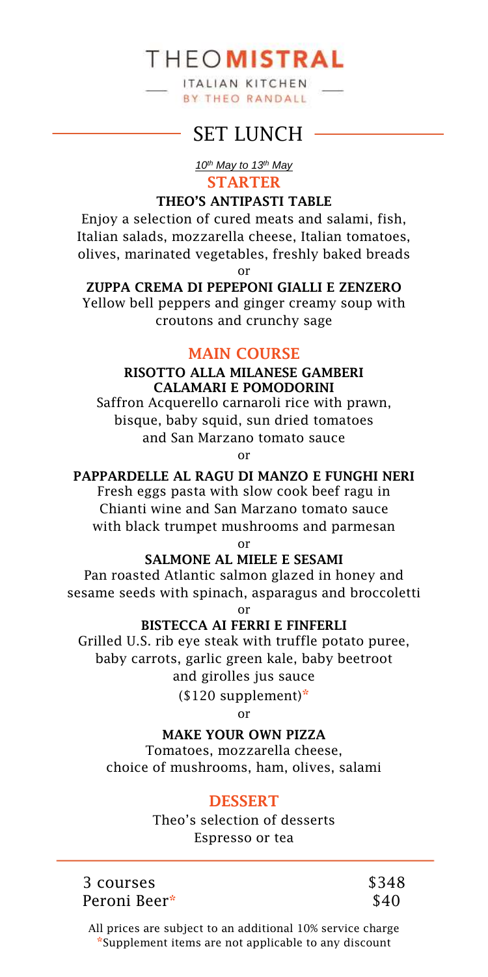ITALIAN KITCHEN **BY THEO RANDALL** 

## SET LUNCH -

#### *10th May to 13th May* **STARTER**

#### **THEO'S ANTIPASTI TABLE**

Enjoy a selection of cured meats and salami, fish, Italian salads, mozzarella cheese, Italian tomatoes, olives, marinated vegetables, freshly baked breads or

**ZUPPA CREMA DI PEPEPONI GIALLI E ZENZERO** 

Yellow bell peppers and ginger creamy soup with croutons and crunchy sage

#### **MAIN COURSE**

#### **RISOTTO ALLA MILANESE GAMBERI CALAMARI E POMODORINI**

Saffron Acquerello carnaroli rice with prawn, bisque, baby squid, sun dried tomatoes and San Marzano tomato sauce

or

## **PAPPARDELLE AL RAGU DI MANZO E FUNGHI NERI**

Fresh eggs pasta with slow cook beef ragu in Chianti wine and San Marzano tomato sauce with black trumpet mushrooms and parmesan

or

#### **SALMONE AL MIELE E SESAMI**

Pan roasted Atlantic salmon glazed in honey and sesame seeds with spinach, asparagus and broccoletti

or

#### **BISTECCA AI FERRI E FINFERLI**

Grilled U.S. rib eye steak with truffle potato puree, baby carrots, garlic green kale, baby beetroot and girolles jus sauce

(\$120 supplement)**\***

or

#### **MAKE YOUR OWN PIZZA**

Tomatoes, mozzarella cheese, choice of mushrooms, ham, olives, salami

## **DESSERT**

Theo's selection of desserts Espresso or tea

3 courses Peroni Beer**\*** \$348 \$40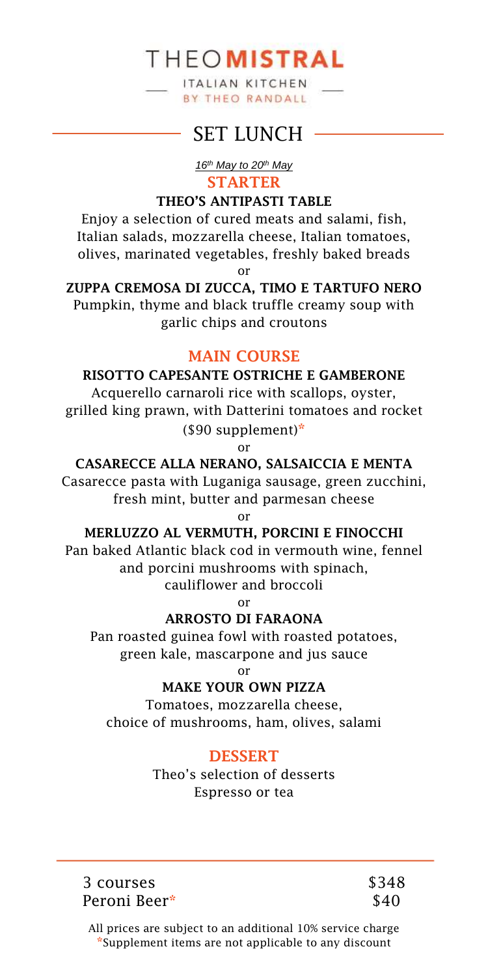ITALIAN KITCHEN **BY THEO RANDALL** 

## SET LUNCH -

*16th May to 20th May* **STARTER**

#### **THEO'S ANTIPASTI TABLE**

Enjoy a selection of cured meats and salami, fish, Italian salads, mozzarella cheese, Italian tomatoes, olives, marinated vegetables, freshly baked breads or

**ZUPPA CREMOSA DI ZUCCA, TIMO E TARTUFO NERO**  Pumpkin, thyme and black truffle creamy soup with

garlic chips and croutons

## **MAIN COURSE**

#### **RISOTTO CAPESANTE OSTRICHE E GAMBERONE**

Acquerello carnaroli rice with scallops, oyster, grilled king prawn, with Datterini tomatoes and rocket (\$90 supplement)**\***

or

**CASARECCE ALLA NERANO, SALSAICCIA E MENTA** 

Casarecce pasta with Luganiga sausage, green zucchini, fresh mint, butter and parmesan cheese

or

#### **MERLUZZO AL VERMUTH, PORCINI E FINOCCHI**

Pan baked Atlantic black cod in vermouth wine, fennel and porcini mushrooms with spinach,

cauliflower and broccoli

or

## **ARROSTO DI FARAONA**

Pan roasted guinea fowl with roasted potatoes, green kale, mascarpone and jus sauce

or

## **MAKE YOUR OWN PIZZA**

Tomatoes, mozzarella cheese, choice of mushrooms, ham, olives, salami

## **DESSERT**

Theo's selection of desserts Espresso or tea

3 courses Peroni Beer**\*** \$348 \$40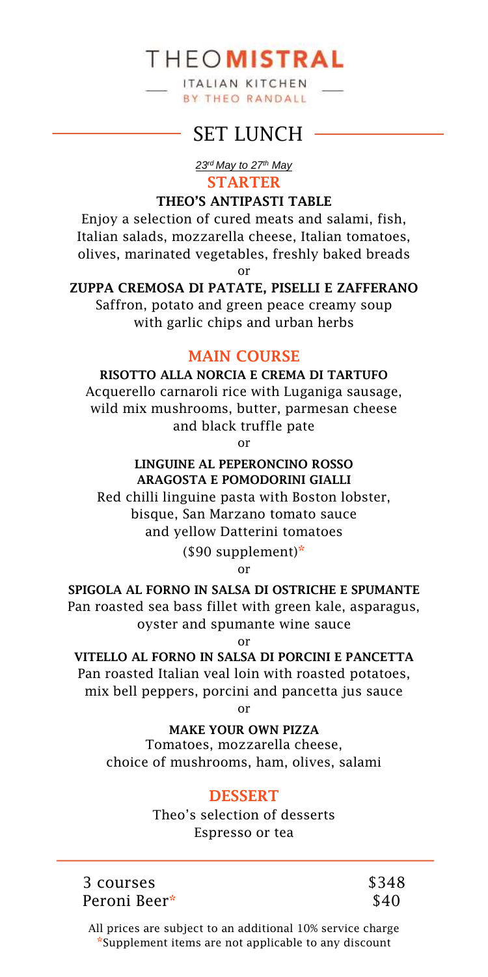ITALIAN KITCHEN **BY THEO RANDALL** 

## SET LUNCH -

*23rd May to 27th May* **STARTER**

#### **THEO'S ANTIPASTI TABLE**

Enjoy a selection of cured meats and salami, fish, Italian salads, mozzarella cheese, Italian tomatoes, olives, marinated vegetables, freshly baked breads or

**ZUPPA CREMOSA DI PATATE, PISELLI E ZAFFERANO**

Saffron, potato and green peace creamy soup with garlic chips and urban herbs

## **MAIN COURSE**

**RISOTTO ALLA NORCIA E CREMA DI TARTUFO**  Acquerello carnaroli rice with Luganiga sausage, wild mix mushrooms, butter, parmesan cheese and black truffle pate

or

#### **LINGUINE AL PEPERONCINO ROSSO ARAGOSTA E POMODORINI GIALLI**

Red chilli linguine pasta with Boston lobster, bisque, San Marzano tomato sauce and yellow Datterini tomatoes

(\$90 supplement)**\***

or

**SPIGOLA AL FORNO IN SALSA DI OSTRICHE E SPUMANTE** Pan roasted sea bass fillet with green kale, asparagus, oyster and spumante wine sauce

or

## **VITELLO AL FORNO IN SALSA DI PORCINI E PANCETTA**

Pan roasted Italian veal loin with roasted potatoes, mix bell peppers, porcini and pancetta jus sauce

or

**MAKE YOUR OWN PIZZA**

Tomatoes, mozzarella cheese, choice of mushrooms, ham, olives, salami

## **DESSERT**

Theo's selection of desserts Espresso or tea

3 courses Peroni Beer**\*** \$348 \$40